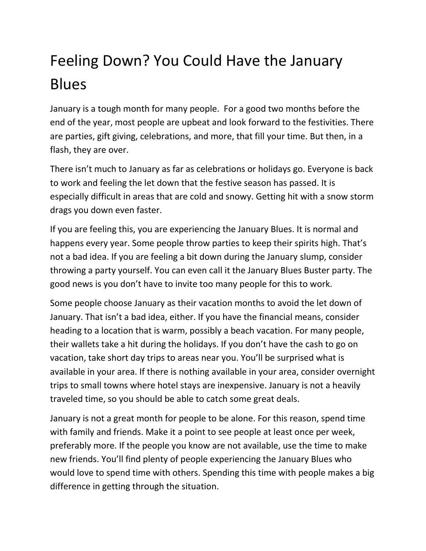## Feeling Down? You Could Have the January Blues

January is a tough month for many people. For a good two months before the end of the year, most people are upbeat and look forward to the festivities. There are parties, gift giving, celebrations, and more, that fill your time. But then, in a flash, they are over.

There isn't much to January as far as celebrations or holidays go. Everyone is back to work and feeling the let down that the festive season has passed. It is especially difficult in areas that are cold and snowy. Getting hit with a snow storm drags you down even faster.

If you are feeling this, you are experiencing the January Blues. It is normal and happens every year. Some people throw parties to keep their spirits high. That's not a bad idea. If you are feeling a bit down during the January slump, consider throwing a party yourself. You can even call it the January Blues Buster party. The good news is you don't have to invite too many people for this to work.

Some people choose January as their vacation months to avoid the let down of January. That isn't a bad idea, either. If you have the financial means, consider heading to a location that is warm, possibly a beach vacation. For many people, their wallets take a hit during the holidays. If you don't have the cash to go on vacation, take short day trips to areas near you. You'll be surprised what is available in your area. If there is nothing available in your area, consider overnight trips to small towns where hotel stays are inexpensive. January is not a heavily traveled time, so you should be able to catch some great deals.

January is not a great month for people to be alone. For this reason, spend time with family and friends. Make it a point to see people at least once per week, preferably more. If the people you know are not available, use the time to make new friends. You'll find plenty of people experiencing the January Blues who would love to spend time with others. Spending this time with people makes a big difference in getting through the situation.